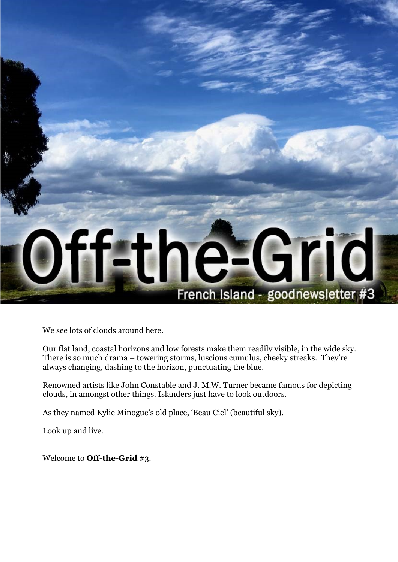

We see lots of clouds around here.

Our flat land, coastal horizons and low forests make them readily visible, in the wide sky. There is so much drama – towering storms, luscious cumulus, cheeky streaks. They're always changing, dashing to the horizon, punctuating the blue.

Renowned artists like John Constable and J. M.W. Turner became famous for depicting clouds, in amongst other things. Islanders just have to look outdoors.

As they named Kylie Minogue's old place, 'Beau Ciel' (beautiful sky).

Look up and live.

Welcome to **Off-the-Grid** #3.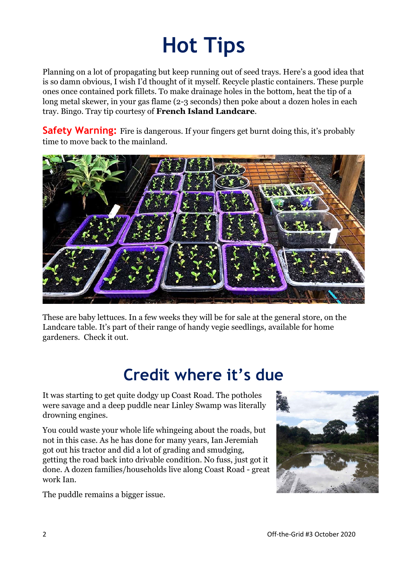# **Hot Tips**

Planning on a lot of propagating but keep running out of seed trays. Here's a good idea that is so damn obvious, I wish I'd thought of it myself. Recycle plastic containers. These purple ones once contained pork fillets. To make drainage holes in the bottom, heat the tip of a long metal skewer, in your gas flame (2-3 seconds) then poke about a dozen holes in each tray. Bingo. Tray tip courtesy of **French Island Landcare**.

**Safety Warning:** Fire is dangerous. If your fingers get burnt doing this, it's probably time to move back to the mainland.



These are baby lettuces. In a few weeks they will be for sale at the general store, on the Landcare table. It's part of their range of handy vegie seedlings, available for home gardeners. Check it out.

### **Credit where it's due**

It was starting to get quite dodgy up Coast Road. The potholes were savage and a deep puddle near Linley Swamp was literally drowning engines.

You could waste your whole life whingeing about the roads, but not in this case. As he has done for many years, Ian Jeremiah got out his tractor and did a lot of grading and smudging, getting the road back into drivable condition. No fuss, just got it done. A dozen families/households live along Coast Road - great work Ian.



The puddle remains a bigger issue.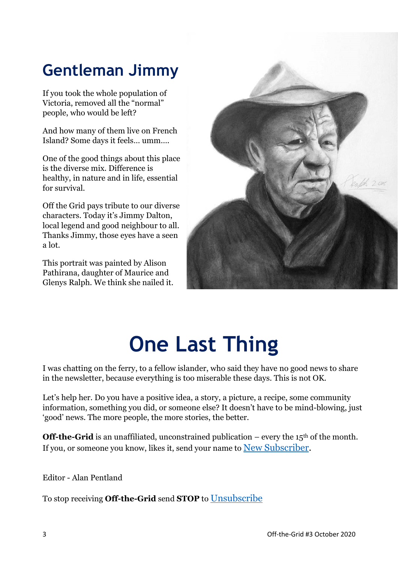## **Gentleman Jimmy**

If you took the whole population of Victoria, removed all the "normal" people, who would be left?

And how many of them live on French Island? Some days it feels… umm….

One of the good things about this place is the diverse mix. Difference is healthy, in nature and in life, essential for survival.

Off the Grid pays tribute to our diverse characters. Today it's Jimmy Dalton, local legend and good neighbour to all. Thanks Jimmy, those eyes have a seen a lot.

This portrait was painted by Alison Pathirana, daughter of Maurice and Glenys Ralph. We think she nailed it.



## **One Last Thing**

I was chatting on the ferry, to a fellow islander, who said they have no good news to share in the newsletter, because everything is too miserable these days. This is not OK.

Let's help her. Do you have a positive idea, a story, a picture, a recipe, some community information, something you did, or someone else? It doesn't have to be mind-blowing, just 'good' news. The more people, the more stories, the better.

**Off-the-Grid** is an unaffiliated, unconstrained publication – every the  $15<sup>th</sup>$  of the month. If you, or someone you know, likes it, send your name to [New Subscriber.](mailto:frenchislandotg@gmail.com?subject=New%20Subscriber)

Editor - Alan Pentland

To stop receiving **Off-the-Grid** send **STOP** to [Unsubscribe](mailto:frenchislandotg@gmail.com?subject=UNSUBSCRIBE)